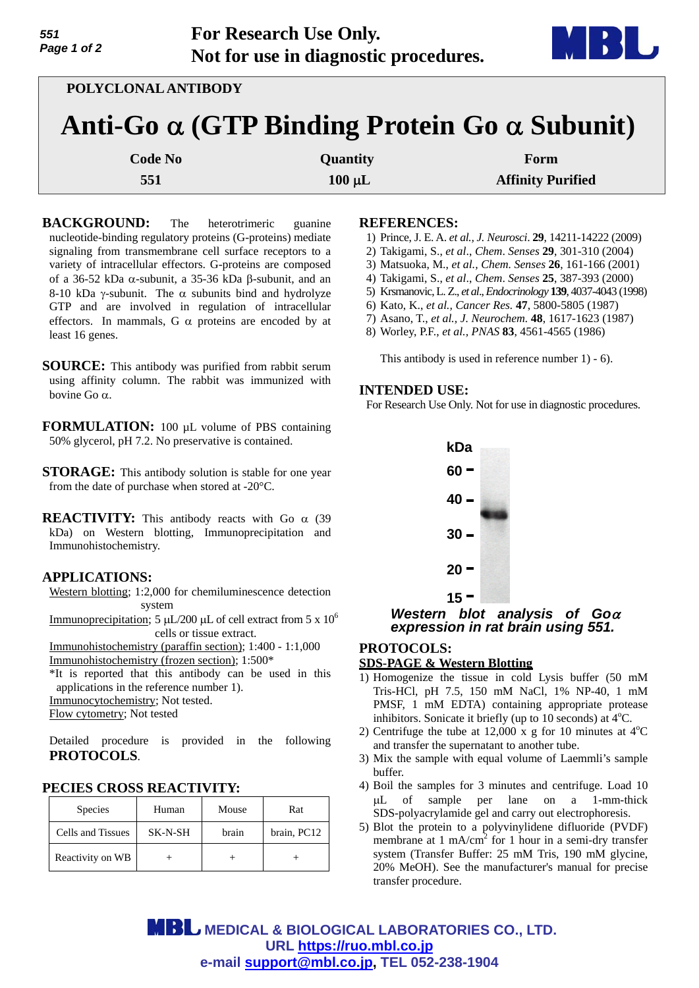| 551<br>Page 1 of 2 | <b>For Research Use Only.</b>         |
|--------------------|---------------------------------------|
|                    | Not for use in diagnostic procedures. |

| POLYCLONAL ANTIBODY                                        |             |                          |  |  |  |
|------------------------------------------------------------|-------------|--------------------------|--|--|--|
| Anti-Go $\alpha$ (GTP Binding Protein Go $\alpha$ Subunit) |             |                          |  |  |  |
| <b>Code No</b>                                             | Quantity    | Form                     |  |  |  |
| 551                                                        | $100 \mu L$ | <b>Affinity Purified</b> |  |  |  |
|                                                            |             |                          |  |  |  |

**BACKGROUND:** The heterotrimeric guanine nucleotide-binding regulatory proteins (G-proteins) mediate signaling from transmembrane cell surface receptors to a variety of intracellular effectors. G-proteins are composed of a 36-52 kDa  $\alpha$ -subunit, a 35-36 kDa  $\beta$ -subunit, and an 8-10 kDa  $\gamma$ -subunit. The  $\alpha$  subunits bind and hydrolyze GTP and are involved in regulation of intracellular effectors. In mammals, G  $\alpha$  proteins are encoded by at least 16 genes.

**SOURCE:** This antibody was purified from rabbit serum using affinity column. The rabbit was immunized with bovine Go  $\alpha$ .

**FORMULATION:** 100 µL volume of PBS containing 50% glycerol, pH 7.2. No preservative is contained.

**STORAGE:** This antibody solution is stable for one year from the date of purchase when stored at -20°C.

**REACTIVITY:** This antibody reacts with Go  $\alpha$  (39) kDa) on Western blotting, Immunoprecipitation and Immunohistochemistry.

# **APPLICATIONS:**

Western blotting; 1:2,000 for chemiluminescence detection system

Immunoprecipitation; 5  $\mu$ L/200  $\mu$ L of cell extract from 5 x 10<sup>6</sup> cells or tissue extract.

Immunohistochemistry (paraffin section); 1:400 - 1:1,000 Immunohistochemistry (frozen section); 1:500\*

\*It is reported that this antibody can be used in this applications in the reference number 1).

Immunocytochemistry; Not tested.

Flow cytometry; Not tested

Detailed procedure is provided in the following **PROTOCOLS**.

#### **PECIES CROSS REACTIVITY:**

| <b>Species</b>    | Human   | Mouse | Rat         |
|-------------------|---------|-------|-------------|
| Cells and Tissues | SK-N-SH | brain | brain, PC12 |
| Reactivity on WB  |         |       |             |

#### **REFERENCES:**

- 1) Prince, J. E. A. *et al., J. Neurosci*. **29**, 14211-14222 (2009)
- 2) Takigami, S., *et al*., *Chem*. *Senses* **29**, 301-310 (2004)
- 3) Matsuoka, M., *et al., Chem. Senses* **26**, 161-166 (2001)
- 4) Takigami, S., *et al*., *Chem*. *Senses* **25**, 387-393 (2000)
- 5) Krsmanovic, L. Z., *et al*., *Endocrinology* **139**, 4037-4043 (1998)
- 6) Kato, K., *et al., Cancer Res.* **47**, 5800-5805 (1987)
- 7) Asano, T., *et al., J. Neurochem.* **48**, 1617-1623 (1987)
- 8) Worley, P.F., *et al., PNAS* **83**, 4561-4565 (1986)

This antibody is used in reference number 1) - 6).

## **INTENDED USE:**

For Research Use Only. Not for use in diagnostic procedures.



*Western blot analysis of Go expression in rat brain using 551.* 

# **PROTOCOLS:**

## **SDS-PAGE & Western Blotting**

- 1) Homogenize the tissue in cold Lysis buffer (50 mM Tris-HCl, pH 7.5, 150 mM NaCl, 1% NP-40, 1 mM PMSF, 1 mM EDTA) containing appropriate protease inhibitors. Sonicate it briefly (up to  $10$  seconds) at  $4^{\circ}$ C.
- 2) Centrifuge the tube at 12,000 x g for 10 minutes at  $4^{\circ}$ C and transfer the supernatant to another tube.
- 3) Mix the sample with equal volume of Laemmli's sample buffer.
- 4) Boil the samples for 3 minutes and centrifuge. Load 10 L of sample per lane on a 1-mm-thick SDS-polyacrylamide gel and carry out electrophoresis.
- 5) Blot the protein to a polyvinylidene difluoride (PVDF) membrane at 1 mA/cm<sup>2</sup> for 1 hour in a semi-dry transfer system (Transfer Buffer: 25 mM Tris, 190 mM glycine, 20% MeOH). See the manufacturer's manual for precise transfer procedure.

**MBL** MEDICAL & BIOLOGICAL LABORATORIES CO., LTD. **URL https://ruo.mbl.co.jp e-mail support@mbl.co.jp, TEL 052-238-1904**